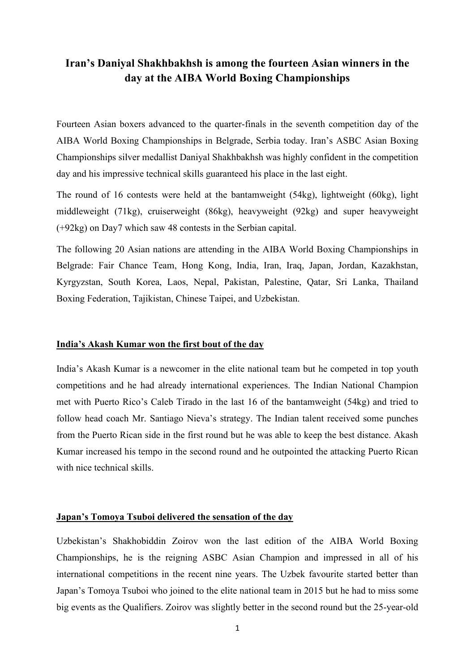# **Iran's Daniyal Shakhbakhsh is among the fourteen Asian winners in the day at the AIBA World Boxing Championships**

Fourteen Asian boxers advanced to the quarter-finals in the seventh competition day of the AIBA World Boxing Championships in Belgrade, Serbia today. Iran's ASBC Asian Boxing Championships silver medallist Daniyal Shakhbakhsh was highly confident in the competition day and his impressive technical skills guaranteed his place in the last eight.

The round of 16 contests were held at the bantamweight (54kg), lightweight (60kg), light middleweight (71kg), cruiserweight (86kg), heavyweight (92kg) and super heavyweight (+92kg) on Day7 which saw 48 contests in the Serbian capital.

The following 20 Asian nations are attending in the AIBA World Boxing Championships in Belgrade: Fair Chance Team, Hong Kong, India, Iran, Iraq, Japan, Jordan, Kazakhstan, Kyrgyzstan, South Korea, Laos, Nepal, Pakistan, Palestine, Qatar, Sri Lanka, Thailand Boxing Federation, Tajikistan, Chinese Taipei, and Uzbekistan.

## **India's Akash Kumar won the first bout of the day**

India's Akash Kumar is a newcomer in the elite national team but he competed in top youth competitions and he had already international experiences. The Indian National Champion met with Puerto Rico's Caleb Tirado in the last 16 of the bantamweight (54kg) and tried to follow head coach Mr. Santiago Nieva's strategy. The Indian talent received some punches from the Puerto Rican side in the first round but he was able to keep the best distance. Akash Kumar increased his tempo in the second round and he outpointed the attacking Puerto Rican with nice technical skills.

## **Japan's Tomoya Tsuboi delivered the sensation of the day**

Uzbekistan's Shakhobiddin Zoirov won the last edition of the AIBA World Boxing Championships, he is the reigning ASBC Asian Champion and impressed in all of his international competitions in the recent nine years. The Uzbek favourite started better than Japan's Tomoya Tsuboi who joined to the elite national team in 2015 but he had to miss some big events as the Qualifiers. Zoirov was slightly better in the second round but the 25-year-old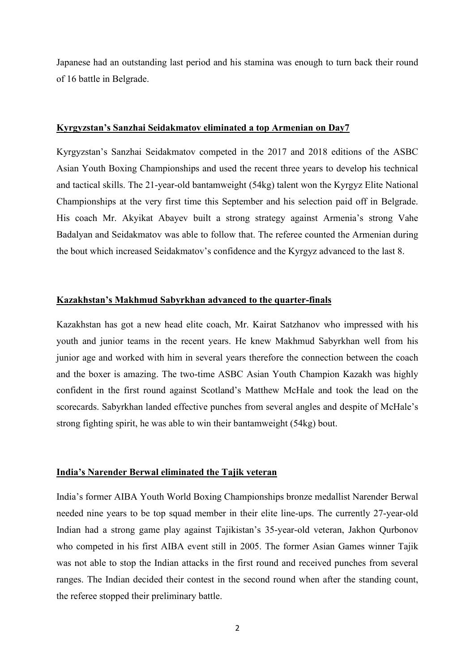Japanese had an outstanding last period and his stamina was enough to turn back their round of 16 battle in Belgrade.

#### **Kyrgyzstan's Sanzhai Seidakmatov eliminated a top Armenian on Day7**

Kyrgyzstan's Sanzhai Seidakmatov competed in the 2017 and 2018 editions of the ASBC Asian Youth Boxing Championships and used the recent three years to develop his technical and tactical skills. The 21-year-old bantamweight (54kg) talent won the Kyrgyz Elite National Championships at the very first time this September and his selection paid off in Belgrade. His coach Mr. Akyikat Abayev built a strong strategy against Armenia's strong Vahe Badalyan and Seidakmatov was able to follow that. The referee counted the Armenian during the bout which increased Seidakmatov's confidence and the Kyrgyz advanced to the last 8.

# **Kazakhstan's Makhmud Sabyrkhan advanced to the quarter-finals**

Kazakhstan has got a new head elite coach, Mr. Kairat Satzhanov who impressed with his youth and junior teams in the recent years. He knew Makhmud Sabyrkhan well from his junior age and worked with him in several years therefore the connection between the coach and the boxer is amazing. The two-time ASBC Asian Youth Champion Kazakh was highly confident in the first round against Scotland's Matthew McHale and took the lead on the scorecards. Sabyrkhan landed effective punches from several angles and despite of McHale's strong fighting spirit, he was able to win their bantamweight (54kg) bout.

## **India's Narender Berwal eliminated the Tajik veteran**

India's former AIBA Youth World Boxing Championships bronze medallist Narender Berwal needed nine years to be top squad member in their elite line-ups. The currently 27-year-old Indian had a strong game play against Tajikistan's 35-year-old veteran, Jakhon Qurbonov who competed in his first AIBA event still in 2005. The former Asian Games winner Tajik was not able to stop the Indian attacks in the first round and received punches from several ranges. The Indian decided their contest in the second round when after the standing count, the referee stopped their preliminary battle.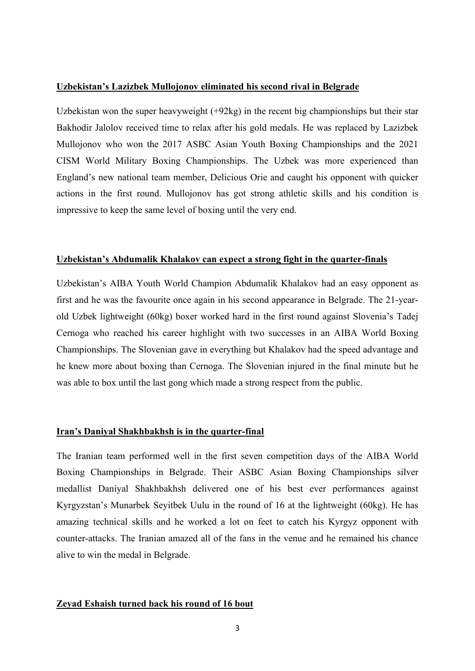# **Uzbekistan's Lazizbek Mullojonov eliminated his second rival in Belgrade**

Uzbekistan won the super heavyweight (+92kg) in the recent big championships but their star Bakhodir Jalolov received time to relax after his gold medals. He was replaced by Lazizbek Mullojonov who won the 2017 ASBC Asian Youth Boxing Championships and the 2021 CISM World Military Boxing Championships. The Uzbek was more experienced than England's new national team member, Delicious Orie and caught his opponent with quicker actions in the first round. Mullojonov has got strong athletic skills and his condition is impressive to keep the same level of boxing until the very end.

## **Uzbekistan's Abdumalik Khalakov can expect a strong fight in the quarter-finals**

Uzbekistan's AIBA Youth World Champion Abdumalik Khalakov had an easy opponent as first and he was the favourite once again in his second appearance in Belgrade. The 21-yearold Uzbek lightweight (60kg) boxer worked hard in the first round against Slovenia's Tadej Cernoga who reached his career highlight with two successes in an AIBA World Boxing Championships. The Slovenian gave in everything but Khalakov had the speed advantage and he knew more about boxing than Cernoga. The Slovenian injured in the final minute but he was able to box until the last gong which made a strong respect from the public.

## **Iran's Daniyal Shakhbakhsh is in the quarter-final**

The Iranian team performed well in the first seven competition days of the AIBA World Boxing Championships in Belgrade. Their ASBC Asian Boxing Championships silver medallist Daniyal Shakhbakhsh delivered one of his best ever performances against Kyrgyzstan's Munarbek Seyitbek Uulu in the round of 16 at the lightweight (60kg). He has amazing technical skills and he worked a lot on feet to catch his Kyrgyz opponent with counter-attacks. The Iranian amazed all of the fans in the venue and he remained his chance alive to win the medal in Belgrade.

## **Zeyad Eshaish turned back his round of 16 bout**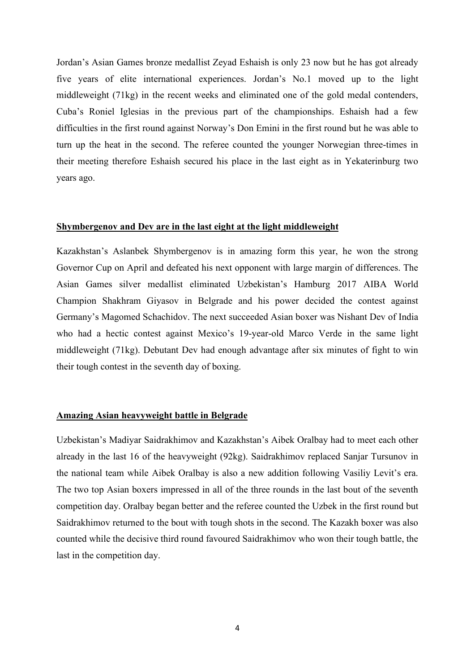Jordan's Asian Games bronze medallist Zeyad Eshaish is only 23 now but he has got already five years of elite international experiences. Jordan's No.1 moved up to the light middleweight (71kg) in the recent weeks and eliminated one of the gold medal contenders, Cuba's Roniel Iglesias in the previous part of the championships. Eshaish had a few difficulties in the first round against Norway's Don Emini in the first round but he was able to turn up the heat in the second. The referee counted the younger Norwegian three-times in their meeting therefore Eshaish secured his place in the last eight as in Yekaterinburg two years ago.

#### **Shymbergenov and Dev are in the last eight at the light middleweight**

Kazakhstan's Aslanbek Shymbergenov is in amazing form this year, he won the strong Governor Cup on April and defeated his next opponent with large margin of differences. The Asian Games silver medallist eliminated Uzbekistan's Hamburg 2017 AIBA World Champion Shakhram Giyasov in Belgrade and his power decided the contest against Germany's Magomed Schachidov. The next succeeded Asian boxer was Nishant Dev of India who had a hectic contest against Mexico's 19-year-old Marco Verde in the same light middleweight (71kg). Debutant Dev had enough advantage after six minutes of fight to win their tough contest in the seventh day of boxing.

## **Amazing Asian heavyweight battle in Belgrade**

Uzbekistan's Madiyar Saidrakhimov and Kazakhstan's Aibek Oralbay had to meet each other already in the last 16 of the heavyweight (92kg). Saidrakhimov replaced Sanjar Tursunov in the national team while Aibek Oralbay is also a new addition following Vasiliy Levit's era. The two top Asian boxers impressed in all of the three rounds in the last bout of the seventh competition day. Oralbay began better and the referee counted the Uzbek in the first round but Saidrakhimov returned to the bout with tough shots in the second. The Kazakh boxer was also counted while the decisive third round favoured Saidrakhimov who won their tough battle, the last in the competition day.